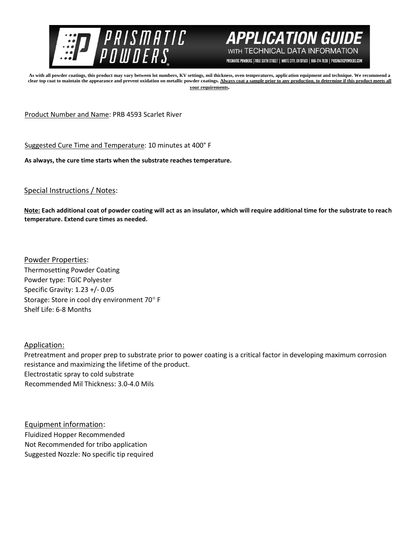



PRISMATIC POWDERS. | 7050 SIXTH STREET | WHITE CITY, OR 97503 | 866-774-7628 | PRISMATICPOWDERS.COM

**As with all powder coatings, this product may vary between lot numbers, KV settings, mil thickness, oven temperatures, application equipment and technique. We recommend a**  clear top coat to maintain the appearance and prevent oxidation on metallic powder coatings. Always coat a sample prior to any production, to determine if this product meets all **your requirements.** 

Product Number and Name: PRB 4593 Scarlet River

Suggested Cure Time and Temperature: 10 minutes at 400° F

**As always, the cure time starts when the substrate reaches temperature.**

## Special Instructions / Notes:

**Note: Each additional coat of powder coating will act as an insulator, which will require additional time for the substrate to reach temperature. Extend cure times as needed.** 

Powder Properties: Thermosetting Powder Coating Powder type: TGIC Polyester Specific Gravity: 1.23 +/- 0.05 Storage: Store in cool dry environment 70° F Shelf Life: 6-8 Months

Application:

Pretreatment and proper prep to substrate prior to power coating is a critical factor in developing maximum corrosion resistance and maximizing the lifetime of the product. Electrostatic spray to cold substrate Recommended Mil Thickness: 3.0-4.0 Mils

Equipment information: Fluidized Hopper Recommended Not Recommended for tribo application Suggested Nozzle: No specific tip required